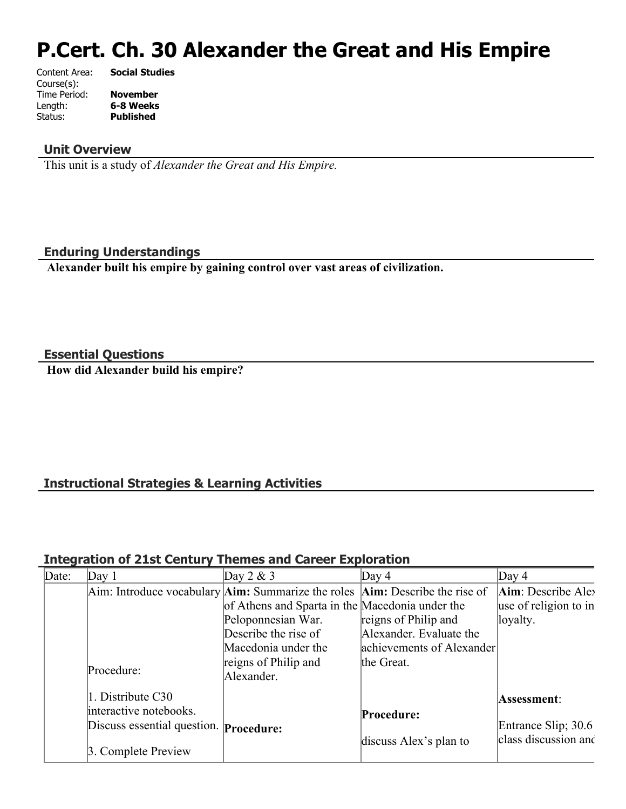# **P.Cert. Ch. 30 Alexander the Great and His Empire**

| Content Area: | <b>Social Studies</b> |
|---------------|-----------------------|
| Course(s):    |                       |
| Time Period:  | <b>November</b>       |
| Length:       | 6-8 Weeks             |
| Status:       | <b>Published</b>      |
|               |                       |

#### **Unit Overview**

This unit is a study of *Alexander the Great and His Empire.*

#### **Enduring Understandings**

 **Alexander built his empire by gaining control over vast areas of civilization.**

**Essential Questions**

 **How did Alexander build his empire?**

# **Instructional Strategies & Learning Activities**

#### **Integration of 21st Century Themes and Career Exploration**

| Date: | Day $1$                                       | Day $2 & 3$                                                                                    | Day 4                     | Day $4$               |
|-------|-----------------------------------------------|------------------------------------------------------------------------------------------------|---------------------------|-----------------------|
|       |                                               | Aim: Introduce vocabulary $\text{Aim}:$ Summarize the roles $\text{Aim}:$ Describe the rise of |                           | Aim: Describe Alex    |
|       |                                               | of Athens and Sparta in the Macedonia under the                                                |                           | use of religion to in |
|       |                                               | Peloponnesian War.                                                                             | reigns of Philip and      | loyalty.              |
|       |                                               | Describe the rise of                                                                           | Alexander. Evaluate the   |                       |
|       |                                               | Macedonia under the                                                                            | achievements of Alexander |                       |
|       |                                               | reigns of Philip and                                                                           | the Great.                |                       |
|       | Procedure:                                    | Alexander.                                                                                     |                           |                       |
|       | 1. Distribute C30                             |                                                                                                |                           | Assessment:           |
|       | interactive notebooks.                        |                                                                                                | Procedure:                |                       |
|       | Discuss essential question. <b>Procedure:</b> |                                                                                                |                           | Entrance Slip; 30.6   |
|       | 3. Complete Preview                           |                                                                                                | discuss Alex's plan to    | class discussion and  |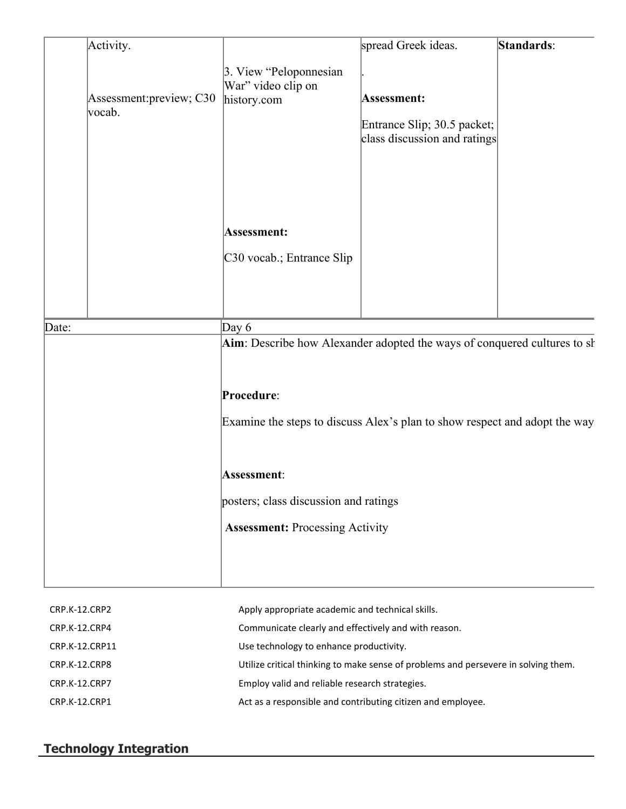|                | Activity.                                                                           |                                                                                          | spread Greek ideas.                                                               | Standards: |
|----------------|-------------------------------------------------------------------------------------|------------------------------------------------------------------------------------------|-----------------------------------------------------------------------------------|------------|
| vocab.         | Assessment: preview; C30                                                            | 3. View "Peloponnesian<br>War" video clip on<br>history.com                              | <b>Assessment:</b><br>Entrance Slip; 30.5 packet;<br>class discussion and ratings |            |
|                |                                                                                     | Assessment:<br>C30 vocab.; Entrance Slip                                                 |                                                                                   |            |
| Date:          | Day $6$<br>Aim: Describe how Alexander adopted the ways of conquered cultures to sh |                                                                                          |                                                                                   |            |
|                |                                                                                     | Procedure:<br>Examine the steps to discuss Alex's plan to show respect and adopt the way |                                                                                   |            |
|                | <b>Assessment:</b><br>posters; class discussion and ratings                         |                                                                                          |                                                                                   |            |
|                |                                                                                     | <b>Assessment: Processing Activity</b>                                                   |                                                                                   |            |
| CRP.K-12.CRP2  |                                                                                     | Apply appropriate academic and technical skills.                                         |                                                                                   |            |
| CRP.K-12.CRP4  |                                                                                     | Communicate clearly and effectively and with reason.                                     |                                                                                   |            |
| CRP.K-12.CRP11 |                                                                                     | Use technology to enhance productivity.                                                  |                                                                                   |            |

CRP.K-12.CRP8 Utilize critical thinking to make sense of problems and persevere in solving them.

CRP.K-12.CRP7 Employ valid and reliable research strategies.

CRP.K-12.CRP1 Act as a responsible and contributing citizen and employee.

# **Technology Integration**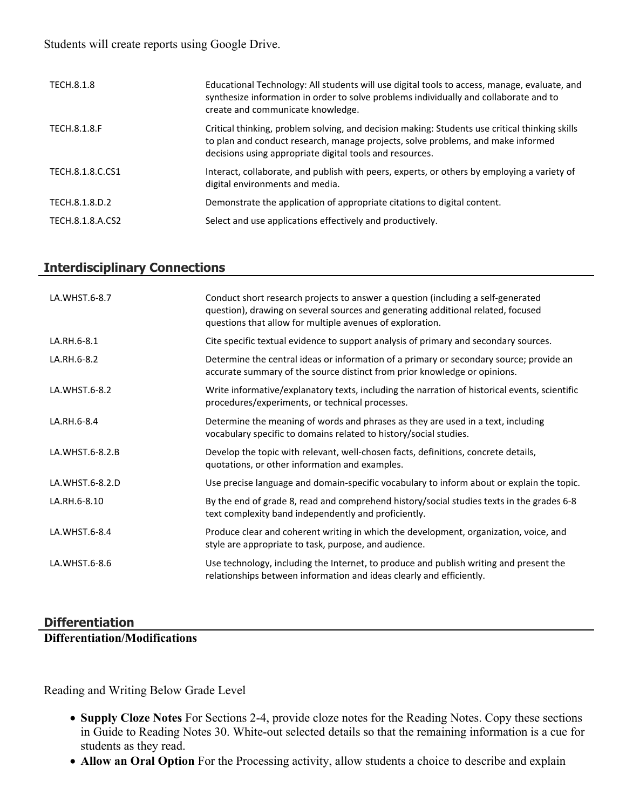Students will create reports using Google Drive.

| TECH.8.1.8       | Educational Technology: All students will use digital tools to access, manage, evaluate, and<br>synthesize information in order to solve problems individually and collaborate and to<br>create and communicate knowledge.                     |
|------------------|------------------------------------------------------------------------------------------------------------------------------------------------------------------------------------------------------------------------------------------------|
| TECH.8.1.8.F     | Critical thinking, problem solving, and decision making: Students use critical thinking skills<br>to plan and conduct research, manage projects, solve problems, and make informed<br>decisions using appropriate digital tools and resources. |
| TECH.8.1.8.C.CS1 | Interact, collaborate, and publish with peers, experts, or others by employing a variety of<br>digital environments and media.                                                                                                                 |
| TECH.8.1.8.D.2   | Demonstrate the application of appropriate citations to digital content.                                                                                                                                                                       |
| TECH.8.1.8.A.CS2 | Select and use applications effectively and productively.                                                                                                                                                                                      |

#### **Interdisciplinary Connections**

| LA.WHST.6-8.7   | Conduct short research projects to answer a question (including a self-generated<br>question), drawing on several sources and generating additional related, focused<br>questions that allow for multiple avenues of exploration. |
|-----------------|-----------------------------------------------------------------------------------------------------------------------------------------------------------------------------------------------------------------------------------|
| LA.RH.6-8.1     | Cite specific textual evidence to support analysis of primary and secondary sources.                                                                                                                                              |
| LA.RH.6-8.2     | Determine the central ideas or information of a primary or secondary source; provide an<br>accurate summary of the source distinct from prior knowledge or opinions.                                                              |
| LA.WHST.6-8.2   | Write informative/explanatory texts, including the narration of historical events, scientific<br>procedures/experiments, or technical processes.                                                                                  |
| LA.RH.6-8.4     | Determine the meaning of words and phrases as they are used in a text, including<br>vocabulary specific to domains related to history/social studies.                                                                             |
| LA.WHST.6-8.2.B | Develop the topic with relevant, well-chosen facts, definitions, concrete details,<br>quotations, or other information and examples.                                                                                              |
| LA.WHST.6-8.2.D | Use precise language and domain-specific vocabulary to inform about or explain the topic.                                                                                                                                         |
| LA.RH.6-8.10    | By the end of grade 8, read and comprehend history/social studies texts in the grades 6-8<br>text complexity band independently and proficiently.                                                                                 |
| LA.WHST.6-8.4   | Produce clear and coherent writing in which the development, organization, voice, and<br>style are appropriate to task, purpose, and audience.                                                                                    |
| LA.WHST.6-8.6   | Use technology, including the Internet, to produce and publish writing and present the<br>relationships between information and ideas clearly and efficiently.                                                                    |

## **Differentiation**

**Differentiation/Modifications**

Reading and Writing Below Grade Level

- **Supply Cloze Notes** For Sections 2-4, provide cloze notes for the Reading Notes. Copy these sections in Guide to Reading Notes 30. White-out selected details so that the remaining information is a cue for students as they read.
- **Allow an Oral Option** For the Processing activity, allow students a choice to describe and explain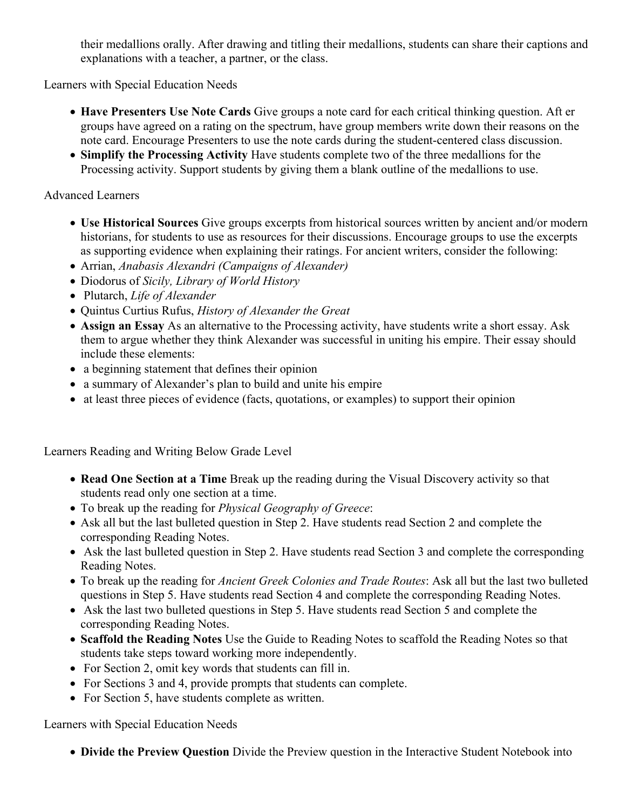their medallions orally. After drawing and titling their medallions, students can share their captions and explanations with a teacher, a partner, or the class.

Learners with Special Education Needs

- **Have Presenters Use Note Cards** Give groups a note card for each critical thinking question. Aft er groups have agreed on a rating on the spectrum, have group members write down their reasons on the note card. Encourage Presenters to use the note cards during the student-centered class discussion.
- **Simplify the Processing Activity** Have students complete two of the three medallions for the Processing activity. Support students by giving them a blank outline of the medallions to use.

#### Advanced Learners

- **Use Historical Sources** Give groups excerpts from historical sources written by ancient and/or modern historians, for students to use as resources for their discussions. Encourage groups to use the excerpts as supporting evidence when explaining their ratings. For ancient writers, consider the following:
- Arrian, *Anabasis Alexandri (Campaigns of Alexander)*
- Diodorus of *Sicily, Library of World History*
- Plutarch, *Life of Alexander*
- Quintus Curtius Rufus, *History of Alexander the Great*
- **Assign an Essay** As an alternative to the Processing activity, have students write a short essay. Ask them to argue whether they think Alexander was successful in uniting his empire. Their essay should include these elements:
- a beginning statement that defines their opinion
- a summary of Alexander's plan to build and unite his empire
- at least three pieces of evidence (facts, quotations, or examples) to support their opinion

Learners Reading and Writing Below Grade Level

- **Read One Section at a Time** Break up the reading during the Visual Discovery activity so that students read only one section at a time.
- To break up the reading for *Physical Geography of Greece*:
- Ask all but the last bulleted question in Step 2. Have students read Section 2 and complete the corresponding Reading Notes.
- Ask the last bulleted question in Step 2. Have students read Section 3 and complete the corresponding Reading Notes.
- To break up the reading for *Ancient Greek Colonies and Trade Routes*: Ask all but the last two bulleted questions in Step 5. Have students read Section 4 and complete the corresponding Reading Notes.
- Ask the last two bulleted questions in Step 5. Have students read Section 5 and complete the corresponding Reading Notes.
- **Scaffold the Reading Notes** Use the Guide to Reading Notes to scaffold the Reading Notes so that students take steps toward working more independently.
- For Section 2, omit key words that students can fill in.
- For Sections 3 and 4, provide prompts that students can complete.
- For Section 5, have students complete as written.

Learners with Special Education Needs

**Divide the Preview Question** Divide the Preview question in the Interactive Student Notebook into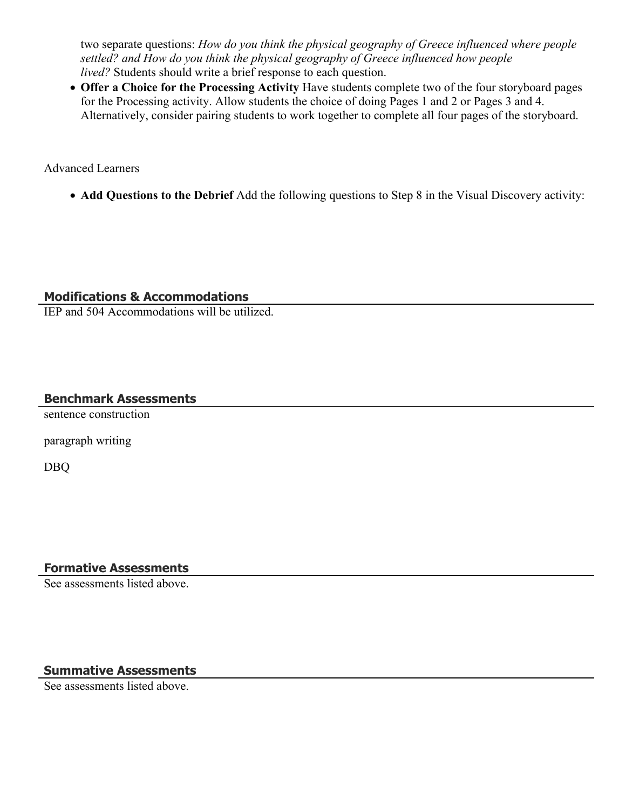two separate questions: *How do you think the physical geography of Greece influenced where people settled? and How do you think the physical geography of Greece influenced how people lived?* Students should write a brief response to each question.

 **Offer a Choice for the Processing Activity** Have students complete two of the four storyboard pages for the Processing activity. Allow students the choice of doing Pages 1 and 2 or Pages 3 and 4. Alternatively, consider pairing students to work together to complete all four pages of the storyboard.

Advanced Learners

**Add Questions to the Debrief** Add the following questions to Step 8 in the Visual Discovery activity:

## **Modifications & Accommodations**

IEP and 504 Accommodations will be utilized.

## **Benchmark Assessments**

sentence construction

paragraph writing

DBQ

## **Formative Assessments**

See assessments listed above.

# **Summative Assessments**

See assessments listed above.